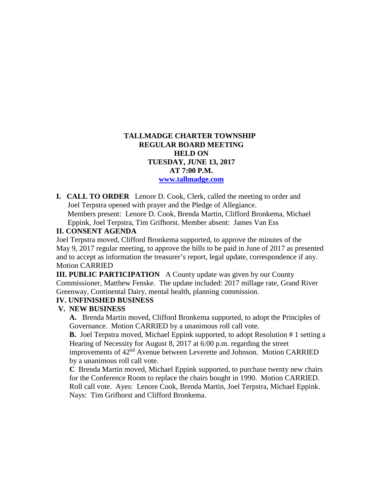#### **TALLMADGE CHARTER TOWNSHIP REGULAR BOARD MEETING HELD ON TUESDAY, JUNE 13, 2017 AT 7:00 P.M. [www.tallmadge.com](http://www.tallmadge.com/)**

**I. CALL TO ORDER** Lenore D. Cook, Clerk, called the meeting to order and Joel Terpstra opened with prayer and the Pledge of Allegiance. Members present: Lenore D. Cook, Brenda Martin, Clifford Bronkema, Michael Eppink, Joel Terpstra, Tim Grifhorst. Member absent: James Van Ess

#### **II. CONSENT AGENDA**

Joel Terpstra moved, Clifford Bronkema supported, to approve the minutes of the May 9, 2017 regular meeting, to approve the bills to be paid in June of 2017 as presented and to accept as information the treasurer's report, legal update, correspondence if any. Motion CARRIED

**III. PUBLIC PARTICIPATION** A County update was given by our County Commissioner, Matthew Fenske. The update included: 2017 millage rate, Grand River Greenway, Continental Dairy, mental health, planning commission.

#### **IV. UNFINISHED BUSINESS**

#### **V. NEW BUSINESS**

 **A.** Brenda Martin moved, Clifford Bronkema supported, to adopt the Principles of Governance. Motion CARRIED by a unanimous roll call vote.

 **B.** Joel Terpstra moved, Michael Eppink supported, to adopt Resolution # 1 setting a Hearing of Necessity for August 8, 2017 at 6:00 p.m. regarding the street improvements of 42<sup>nd</sup> Avenue between Leverette and Johnson. Motion CARRIED by a unanimous roll call vote.

 **C** Brenda Martin moved, Michael Eppink supported, to purchase twenty new chairs for the Conference Room to replace the chairs bought in 1990. Motion CARRIED. Roll call vote. Ayes: Lenore Cook, Brenda Martin, Joel Terpstra, Michael Eppink. Nays: Tim Grifhorst and Clifford Bronkema.